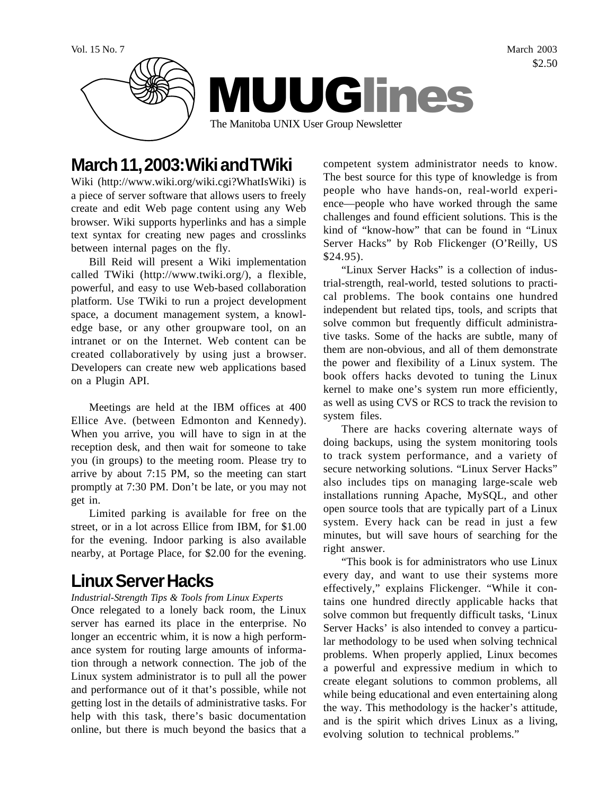

# **March 11, 2003: Wiki and TWiki**

Wiki (http://www.wiki.org/wiki.cgi?WhatIsWiki) is a piece of server software that allows users to freely create and edit Web page content using any Web browser. Wiki supports hyperlinks and has a simple text syntax for creating new pages and crosslinks between internal pages on the fly.

Bill Reid will present a Wiki implementation called TWiki (http://www.twiki.org/), a flexible, powerful, and easy to use Web-based collaboration platform. Use TWiki to run a project development space, a document management system, a knowledge base, or any other groupware tool, on an intranet or on the Internet. Web content can be created collaboratively by using just a browser. Developers can create new web applications based on a Plugin API.

Meetings are held at the IBM offices at 400 Ellice Ave. (between Edmonton and Kennedy). When you arrive, you will have to sign in at the reception desk, and then wait for someone to take you (in groups) to the meeting room. Please try to arrive by about 7:15 PM, so the meeting can start promptly at 7:30 PM. Don't be late, or you may not get in.

Limited parking is available for free on the street, or in a lot across Ellice from IBM, for \$1.00 for the evening. Indoor parking is also available nearby, at Portage Place, for \$2.00 for the evening.

# **Linux Server Hacks**

#### *Industrial-Strength Tips & Tools from Linux Experts*

Once relegated to a lonely back room, the Linux server has earned its place in the enterprise. No longer an eccentric whim, it is now a high performance system for routing large amounts of information through a network connection. The job of the Linux system administrator is to pull all the power and performance out of it that's possible, while not getting lost in the details of administrative tasks. For help with this task, there's basic documentation online, but there is much beyond the basics that a

competent system administrator needs to know. The best source for this type of knowledge is from people who have hands-on, real-world experience—people who have worked through the same challenges and found efficient solutions. This is the kind of "know-how" that can be found in "Linux Server Hacks" by Rob Flickenger (O'Reilly, US \$24.95).

"Linux Server Hacks" is a collection of industrial-strength, real-world, tested solutions to practical problems. The book contains one hundred independent but related tips, tools, and scripts that solve common but frequently difficult administrative tasks. Some of the hacks are subtle, many of them are non-obvious, and all of them demonstrate the power and flexibility of a Linux system. The book offers hacks devoted to tuning the Linux kernel to make one's system run more efficiently, as well as using CVS or RCS to track the revision to system files.

There are hacks covering alternate ways of doing backups, using the system monitoring tools to track system performance, and a variety of secure networking solutions. "Linux Server Hacks" also includes tips on managing large-scale web installations running Apache, MySQL, and other open source tools that are typically part of a Linux system. Every hack can be read in just a few minutes, but will save hours of searching for the right answer.

"This book is for administrators who use Linux every day, and want to use their systems more effectively," explains Flickenger. "While it contains one hundred directly applicable hacks that solve common but frequently difficult tasks, 'Linux Server Hacks' is also intended to convey a particular methodology to be used when solving technical problems. When properly applied, Linux becomes a powerful and expressive medium in which to create elegant solutions to common problems, all while being educational and even entertaining along the way. This methodology is the hacker's attitude, and is the spirit which drives Linux as a living, evolving solution to technical problems."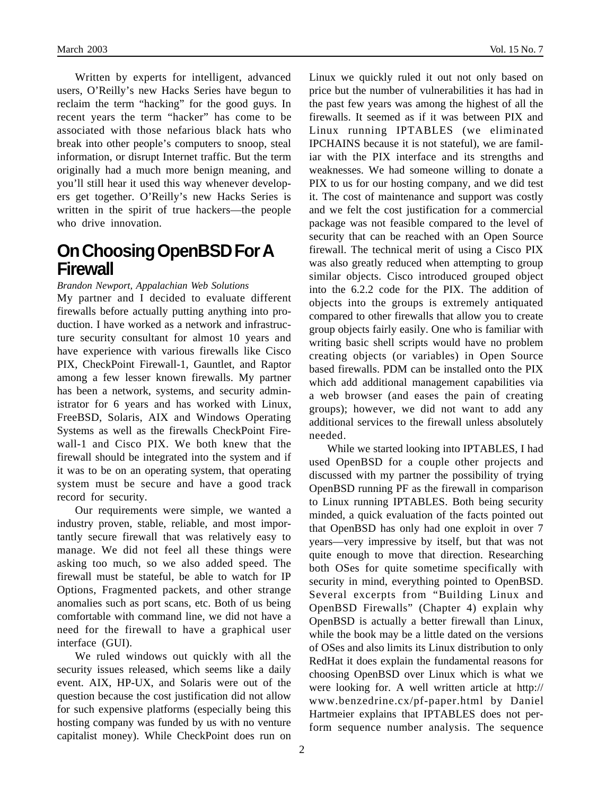Written by experts for intelligent, advanced users, O'Reilly's new Hacks Series have begun to reclaim the term "hacking" for the good guys. In recent years the term "hacker" has come to be associated with those nefarious black hats who break into other people's computers to snoop, steal information, or disrupt Internet traffic. But the term originally had a much more benign meaning, and you'll still hear it used this way whenever developers get together. O'Reilly's new Hacks Series is written in the spirit of true hackers—the people who drive innovation.

## **On Choosing OpenBSD For A Firewall**

*Brandon Newport, Appalachian Web Solutions*

My partner and I decided to evaluate different firewalls before actually putting anything into production. I have worked as a network and infrastructure security consultant for almost 10 years and have experience with various firewalls like Cisco PIX, CheckPoint Firewall-1, Gauntlet, and Raptor among a few lesser known firewalls. My partner has been a network, systems, and security administrator for 6 years and has worked with Linux, FreeBSD, Solaris, AIX and Windows Operating Systems as well as the firewalls CheckPoint Firewall-1 and Cisco PIX. We both knew that the firewall should be integrated into the system and if it was to be on an operating system, that operating system must be secure and have a good track record for security.

Our requirements were simple, we wanted a industry proven, stable, reliable, and most importantly secure firewall that was relatively easy to manage. We did not feel all these things were asking too much, so we also added speed. The firewall must be stateful, be able to watch for IP Options, Fragmented packets, and other strange anomalies such as port scans, etc. Both of us being comfortable with command line, we did not have a need for the firewall to have a graphical user interface (GUI).

We ruled windows out quickly with all the security issues released, which seems like a daily event. AIX, HP-UX, and Solaris were out of the question because the cost justification did not allow for such expensive platforms (especially being this hosting company was funded by us with no venture capitalist money). While CheckPoint does run on Linux we quickly ruled it out not only based on price but the number of vulnerabilities it has had in the past few years was among the highest of all the firewalls. It seemed as if it was between PIX and Linux running IPTABLES (we eliminated IPCHAINS because it is not stateful), we are familiar with the PIX interface and its strengths and weaknesses. We had someone willing to donate a PIX to us for our hosting company, and we did test it. The cost of maintenance and support was costly and we felt the cost justification for a commercial package was not feasible compared to the level of security that can be reached with an Open Source firewall. The technical merit of using a Cisco PIX was also greatly reduced when attempting to group similar objects. Cisco introduced grouped object into the 6.2.2 code for the PIX. The addition of objects into the groups is extremely antiquated compared to other firewalls that allow you to create

group objects fairly easily. One who is familiar with writing basic shell scripts would have no problem creating objects (or variables) in Open Source based firewalls. PDM can be installed onto the PIX which add additional management capabilities via a web browser (and eases the pain of creating groups); however, we did not want to add any additional services to the firewall unless absolutely needed.

While we started looking into IPTABLES, I had used OpenBSD for a couple other projects and discussed with my partner the possibility of trying OpenBSD running PF as the firewall in comparison to Linux running IPTABLES. Both being security minded, a quick evaluation of the facts pointed out that OpenBSD has only had one exploit in over 7 years—very impressive by itself, but that was not quite enough to move that direction. Researching both OSes for quite sometime specifically with security in mind, everything pointed to OpenBSD. Several excerpts from "Building Linux and OpenBSD Firewalls" (Chapter 4) explain why OpenBSD is actually a better firewall than Linux, while the book may be a little dated on the versions of OSes and also limits its Linux distribution to only RedHat it does explain the fundamental reasons for choosing OpenBSD over Linux which is what we were looking for. A well written article at http:// www.benzedrine.cx/pf-paper.html by Daniel Hartmeier explains that IPTABLES does not perform sequence number analysis. The sequence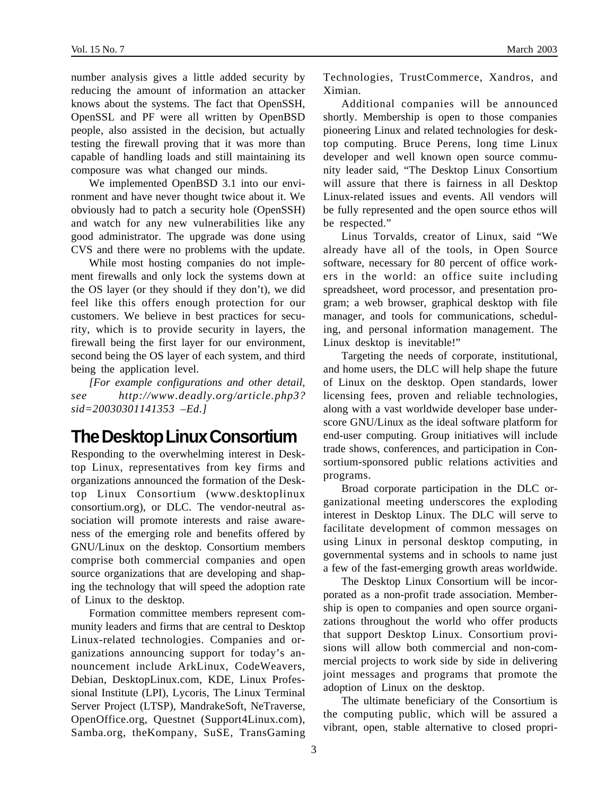number analysis gives a little added security by reducing the amount of information an attacker knows about the systems. The fact that OpenSSH, OpenSSL and PF were all written by OpenBSD people, also assisted in the decision, but actually testing the firewall proving that it was more than capable of handling loads and still maintaining its composure was what changed our minds.

We implemented OpenBSD 3.1 into our environment and have never thought twice about it. We obviously had to patch a security hole (OpenSSH) and watch for any new vulnerabilities like any good administrator. The upgrade was done using CVS and there were no problems with the update.

While most hosting companies do not implement firewalls and only lock the systems down at the OS layer (or they should if they don't), we did feel like this offers enough protection for our customers. We believe in best practices for security, which is to provide security in layers, the firewall being the first layer for our environment, second being the OS layer of each system, and third being the application level.

*[For example configurations and other detail, see http://www.deadly.org/article.php3? sid=20030301141353 –Ed.]*

# **The Desktop Linux Consortium**

Responding to the overwhelming interest in Desktop Linux, representatives from key firms and organizations announced the formation of the Desktop Linux Consortium (www.desktoplinux consortium.org), or DLC. The vendor-neutral association will promote interests and raise awareness of the emerging role and benefits offered by GNU/Linux on the desktop. Consortium members comprise both commercial companies and open source organizations that are developing and shaping the technology that will speed the adoption rate of Linux to the desktop.

Formation committee members represent community leaders and firms that are central to Desktop Linux-related technologies. Companies and organizations announcing support for today's announcement include ArkLinux, CodeWeavers, Debian, DesktopLinux.com, KDE, Linux Professional Institute (LPI), Lycoris, The Linux Terminal Server Project (LTSP), MandrakeSoft, NeTraverse, OpenOffice.org, Questnet (Support4Linux.com), Samba.org, theKompany, SuSE, TransGaming

Technologies, TrustCommerce, Xandros, and Ximian.

Additional companies will be announced shortly. Membership is open to those companies pioneering Linux and related technologies for desktop computing. Bruce Perens, long time Linux developer and well known open source community leader said, "The Desktop Linux Consortium will assure that there is fairness in all Desktop Linux-related issues and events. All vendors will be fully represented and the open source ethos will be respected."

Linus Torvalds, creator of Linux, said "We already have all of the tools, in Open Source software, necessary for 80 percent of office workers in the world: an office suite including spreadsheet, word processor, and presentation program; a web browser, graphical desktop with file manager, and tools for communications, scheduling, and personal information management. The Linux desktop is inevitable!"

Targeting the needs of corporate, institutional, and home users, the DLC will help shape the future of Linux on the desktop. Open standards, lower licensing fees, proven and reliable technologies, along with a vast worldwide developer base underscore GNU/Linux as the ideal software platform for end-user computing. Group initiatives will include trade shows, conferences, and participation in Consortium-sponsored public relations activities and programs.

Broad corporate participation in the DLC organizational meeting underscores the exploding interest in Desktop Linux. The DLC will serve to facilitate development of common messages on using Linux in personal desktop computing, in governmental systems and in schools to name just a few of the fast-emerging growth areas worldwide.

The Desktop Linux Consortium will be incorporated as a non-profit trade association. Membership is open to companies and open source organizations throughout the world who offer products that support Desktop Linux. Consortium provisions will allow both commercial and non-commercial projects to work side by side in delivering joint messages and programs that promote the adoption of Linux on the desktop.

The ultimate beneficiary of the Consortium is the computing public, which will be assured a vibrant, open, stable alternative to closed propri